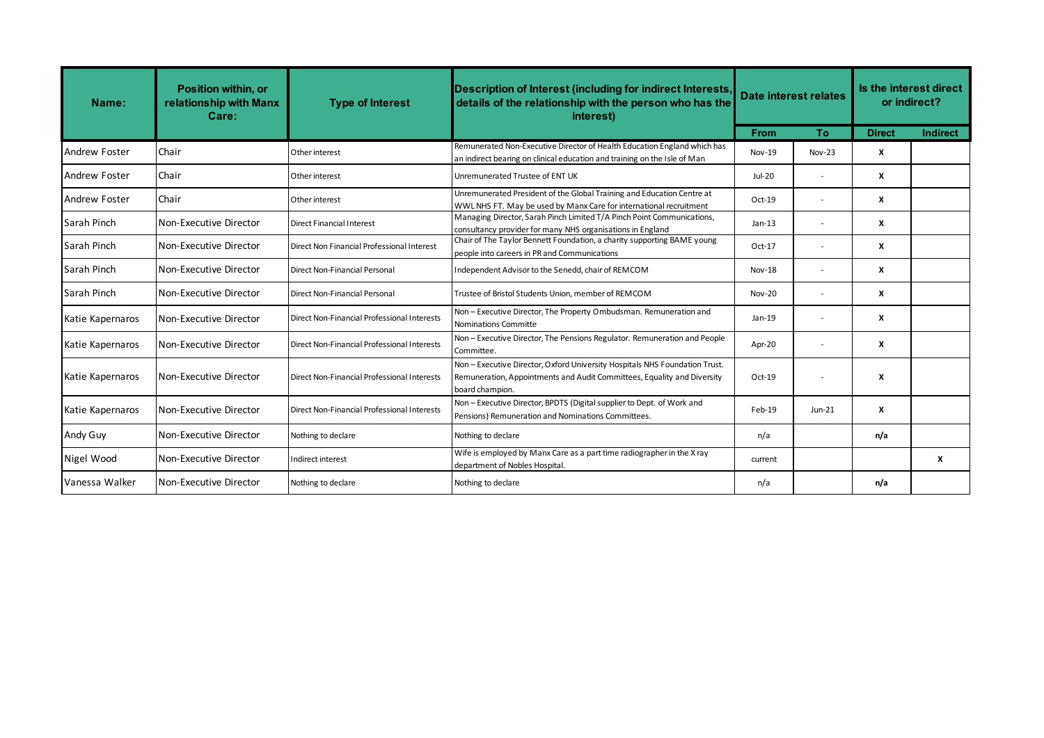| Name:                | <b>Position within, or</b><br>relationship with Manx<br>Care: | <b>Type of Interest</b>                     | Description of Interest (including for indirect Interests,<br>details of the relationship with the person who has the<br>interest)                                        | Date interest relates |                          | Is the interest direct<br>or indirect? |                 |
|----------------------|---------------------------------------------------------------|---------------------------------------------|---------------------------------------------------------------------------------------------------------------------------------------------------------------------------|-----------------------|--------------------------|----------------------------------------|-----------------|
|                      |                                                               |                                             |                                                                                                                                                                           | <b>From</b>           | <b>To</b>                | <b>Direct</b>                          | <b>Indirect</b> |
| <b>Andrew Foster</b> | Chair                                                         | Other interest                              | Remunerated Non-Executive Director of Health Education England which has<br>an indirect bearing on clinical education and training on the Isle of Man                     | <b>Nov-19</b>         | $Nov-23$                 | x                                      |                 |
| <b>Andrew Foster</b> | Chair                                                         | Other interest                              | Unremunerated Trustee of ENT UK                                                                                                                                           | Jul-20                |                          | X                                      |                 |
| <b>Andrew Foster</b> | Chair                                                         | Other interest                              | Unremunerated President of the Global Training and Education Centre at<br>WWL NHS FT. May be used by Manx Care for international recruitment                              | $Oct-19$              |                          | X                                      |                 |
| Sarah Pinch          | Non-Executive Director                                        | Direct Financial Interest                   | Managing Director, Sarah Pinch Limited T/A Pinch Point Communications,<br>consultancy provider for many NHS organisations in England                                      | $Jan-13$              |                          | x                                      |                 |
| Sarah Pinch          | Non-Executive Director                                        | Direct Non Financial Professional Interest  | Chair of The Taylor Bennett Foundation, a charity supporting BAME young<br>people into careers in PR and Communications                                                   | Oct-17                |                          | X                                      |                 |
| Sarah Pinch          | Non-Executive Director                                        | Direct Non-Financial Personal               | Independent Advisor to the Senedd, chair of REMCOM                                                                                                                        | Nov-18                | $\sim$                   | X                                      |                 |
| Sarah Pinch          | Non-Executive Director                                        | Direct Non-Financial Personal               | Trustee of Bristol Students Union, member of REMCOM                                                                                                                       | <b>Nov-20</b>         | $\overline{\phantom{a}}$ | X                                      |                 |
| Katie Kapernaros     | Non-Executive Director                                        | Direct Non-Financial Professional Interests | Non - Executive Director, The Property Ombudsman. Remuneration and<br>Nominations Committe                                                                                | $Jan-19$              |                          | X                                      |                 |
| Katie Kapernaros     | Non-Executive Director                                        | Direct Non-Financial Professional Interests | Non - Executive Director, The Pensions Regulator. Remuneration and People<br>Committee.                                                                                   | Apr-20                | $\sim$                   | X                                      |                 |
| Katie Kapernaros     | Non-Executive Director                                        | Direct Non-Financial Professional Interests | Non - Executive Director, Oxford University Hospitals NHS Foundation Trust.<br>Remuneration, Appointments and Audit Committees, Equality and Diversity<br>board champion. | Oct-19                |                          | X                                      |                 |
| Katie Kapernaros     | Non-Executive Director                                        | Direct Non-Financial Professional Interests | Non - Executive Director, BPDTS (Digital supplier to Dept. of Work and<br>Pensions) Remuneration and Nominations Committees.                                              | Feb-19                | $Jun-21$                 | X                                      |                 |
| Andy Guy             | Non-Executive Director                                        | Nothing to declare                          | Nothing to declare                                                                                                                                                        | n/a                   |                          | n/a                                    |                 |
| Nigel Wood           | Non-Executive Director                                        | Indirect interest                           | Wife is employed by Manx Care as a part time radiographer in the X ray<br>department of Nobles Hospital.                                                                  | current               |                          |                                        | X               |
| Vanessa Walker       | Non-Executive Director                                        | Nothing to declare                          | Nothing to declare                                                                                                                                                        | n/a                   |                          | n/a                                    |                 |